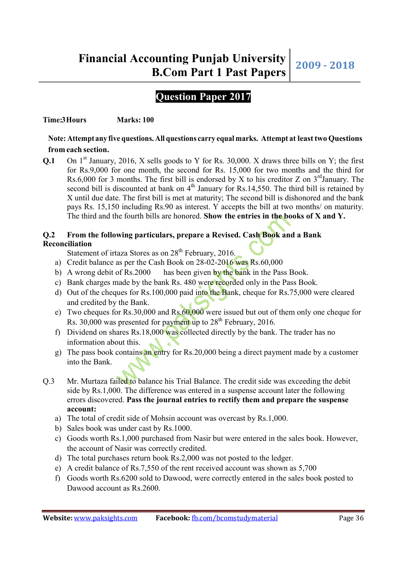# **Question Paper 2017**

# **Time:3 Hours** Marks: 100

# **Note: Attempt any five questions. All questions carry equal marks. Attempt at least two Questions from each section.**

**Q.1** On 1<sup>st</sup> January, 2016, X sells goods to Y for Rs. 30,000. X draws three bills on Y; the first for Rs.9,000 for one month, the second for Rs. 15,000 for two months and the third for Rs.6,000 for 3 months. The first bill is endorsed by X to his creditor Z on  $3<sup>rd</sup>$ January. The second bill is discounted at bank on  $4<sup>th</sup>$  January for Rs.14,550. The third bill is retained by X until due date. The first bill is met at maturity; The second bill is dishonored and the bank pays Rs. 15,150 including Rs.90 as interest. Y accepts the bill at two months/ on maturity. The third and the fourth bills are honored. **Show the entries in the books of X and Y.**

# **Q.2 From the following particulars, prepare a Revised. Cash Book and a Bank Reconciliation**

Statement of irtaza Stores as on  $28<sup>th</sup>$  February, 2016.

- a) Credit balance as per the Cash Book on 28-02-2016 was Rs.60,000
- b) A wrong debit of Rs.2000 has been given by the bank in the Pass Book.
- c) Bank charges made by the bank Rs. 480 were recorded only in the Pass Book.
- d) Out of the cheques for Rs.100,000 paid into the Bank, cheque for Rs.75,000 were cleared and credited by the Bank.
- e) Two cheques for Rs.30,000 and Rs.60,000 were issued but out of them only one cheque for Rs.  $30,000$  was presented for payment up to  $28<sup>th</sup>$  February, 2016.
- f) Dividend on shares Rs.18,000 was collected directly by the bank. The trader has no information about this.
- g) The pass book contains an entry for Rs.20,000 being a direct payment made by a customer into the Bank.
- Q.3 Mr. Murtaza failed to balance his Trial Balance. The credit side was exceeding the debit side by Rs.1,000. The difference was entered in a suspense account later the following errors discovered. **Pass the journal entries to rectify them and prepare the suspense account:**
	- a) The total of credit side of Mohsin account was overcast by Rs.1,000.
	- b) Sales book was under cast by Rs.1000.
	- c) Goods worth Rs.1,000 purchased from Nasir but were entered in the sales book. However, the account of Nasir was correctly credited.
	- d) The total purchases return book Rs.2,000 was not posted to the ledger.
	- e) A credit balance of Rs.7,550 of the rent received account was shown as 5,700
	- f) Goods worth Rs.6200 sold to Dawood, were correctly entered in the sales book posted to Dawood account as Rs.2600.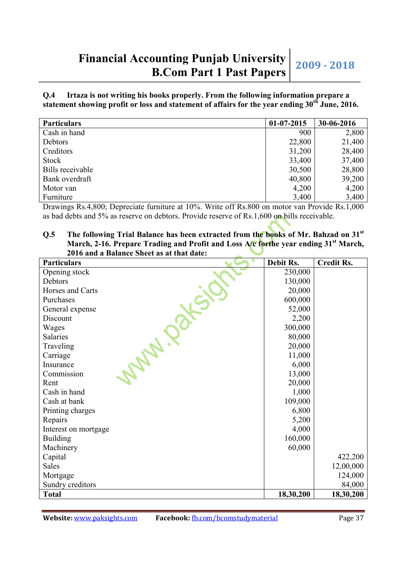**Q.4 Irtaza is not writing his books properly. From the following information prepare a statement showing profit or loss and statement of affairs for the year ending 30th June, 2016.** 

| <b>Particulars</b> | $01-07-2015$ | 30-06-2016 |
|--------------------|--------------|------------|
| Cash in hand       | 900          | 2,800      |
| Debtors            | 22,800       | 21,400     |
| Creditors          | 31,200       | 28,400     |
| Stock              | 33,400       | 37,400     |
| Bills receivable   | 30,500       | 28,800     |
| Bank overdraft     | 40,800       | 39,200     |
| Motor van          | 4,200        | 4,200      |
| Furniture          | 3,400        | 3,400      |

Drawings Rs.4,800; Depreciate furniture at 10%. Write off Rs.800 on motor van Provide Rs.1,000 as bad debts and 5% as reserve on debtors. Provide reserve of Rs.1,600 on bills receivable.

#### **Q.5 The following Trial Balance has been extracted from the books of Mr. Bahzad on 31st March, 2-16. Prepare Trading and Profit and Loss A/c forthe year ending 31st March, 2016 and a Balance Sheet as at that date:**

| ٠<br><b>Particulars</b> | Debit Rs. | <b>Credit Rs.</b> |
|-------------------------|-----------|-------------------|
| Opening stock           | 230,000   |                   |
| Debtors                 | 130,000   |                   |
| Horses and Carts        | 20,000    |                   |
| Purchases               | 600,000   |                   |
| General expense         | 52,000    |                   |
| Discount                | 2,200     |                   |
| Wages                   | 300,000   |                   |
| Salaries                | 80,000    |                   |
| Traveling               | 20,000    |                   |
| Carriage                | 11,000    |                   |
| Insurance               | 6,000     |                   |
| Commission              | 13,000    |                   |
| Rent                    | 20,000    |                   |
| Cash in hand            | 1,000     |                   |
| Cash at bank            | 109,000   |                   |
| Printing charges        | 6,800     |                   |
| Repairs                 | 5,200     |                   |
| Interest on mortgage    | 4,000     |                   |
| <b>Building</b>         | 160,000   |                   |
| Machinery               | 60,000    |                   |
| Capital                 |           | 422,200           |
| <b>Sales</b>            |           | 12,00,000         |
| Mortgage                |           | 124,000           |
| Sundry creditors        |           | 84,000            |
| <b>Total</b>            | 18,30,200 | 18,30,200         |

**Website:** www.paksights.com **Facebook:** fb.com/bcomstudymaterial Page 37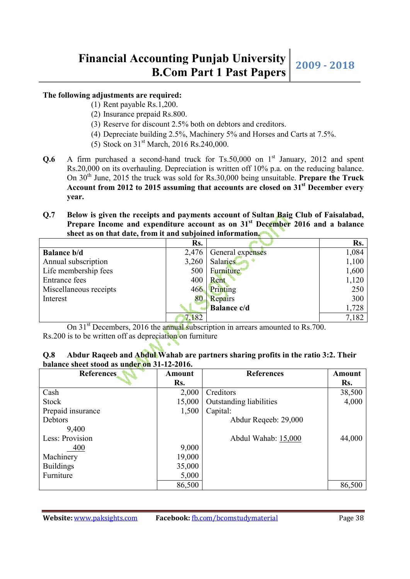#### **The following adjustments are required:**

- (1) Rent payable Rs.1,200.
- (2) Insurance prepaid Rs.800.
- (3) Reserve for discount 2.5% both on debtors and creditors.
- (4) Depreciate building 2.5%, Machinery 5% and Horses and Carts at 7.5%.
- (5) Stock on  $31<sup>st</sup>$  March, 2016 Rs.240,000.
- **Q.6** A firm purchased a second-hand truck for  $Ts.50,000$  on  $1<sup>st</sup>$  January, 2012 and spent Rs.20,000 on its overhauling. Depreciation is written off 10% p.a. on the reducing balance. On 30th June, 2015 the truck was sold for Rs.30,000 being unsuitable. **Prepare the Truck Account from 2012 to 2015 assuming that accounts are closed on 31st December every year.**
- **Q.7 Below is given the receipts and payments account of Sultan Baig Club of Faisalabad, Prepare Income and expenditure account as on 31st December 2016 and a balance sheet as on that date, from it and subjoined information.**

|                        | Rs.   |                    | Rs.   |
|------------------------|-------|--------------------|-------|
| <b>Balance b/d</b>     | 2,476 | General expenses   | 1,084 |
| Annual subscription    | 3,260 | <b>Salaries</b>    | 1,100 |
| Life membership fees   | 500   | <b>Furniture</b>   | 1,600 |
| <b>Entrance</b> fees   | 400   | Rent               | 1,120 |
| Miscellaneous receipts | 466   | Printing           | 250   |
| Interest               | 80    | Repairs            | 300   |
|                        |       | <b>Balance c/d</b> | 1,728 |
|                        | 7,182 |                    | 7,182 |

On 31<sup>st</sup> Decembers, 2016 the annual subscription in arrears amounted to Rs.700. Rs.200 is to be written off as depreciation on furniture

 $\mathbb{R}$ 

| Q.8 | Abdur Raqeeb and Abdul Wahab are partners sharing profits in the ratio 3:2. Their |  |
|-----|-----------------------------------------------------------------------------------|--|
|     | balance sheet stood as under on 31-12-2016.                                       |  |

| <b>References</b> | Amount | <b>References</b>       | <b>Amount</b> |
|-------------------|--------|-------------------------|---------------|
|                   | Rs.    |                         | Rs.           |
| Cash              | 2,000  | Creditors               | 38,500        |
| Stock             | 15,000 | Outstanding liabilities | 4,000         |
| Prepaid insurance | 1,500  | Capital:                |               |
| Debtors           |        | Abdur Reqeeb: 29,000    |               |
| 9,400             |        |                         |               |
| Less: Provision   |        | Abdul Wahab: 15,000     | 44,000        |
| 400               | 9,000  |                         |               |
| Machinery         | 19,000 |                         |               |
| <b>Buildings</b>  | 35,000 |                         |               |
| Furniture         | 5,000  |                         |               |
|                   | 86,500 |                         | 86,500        |